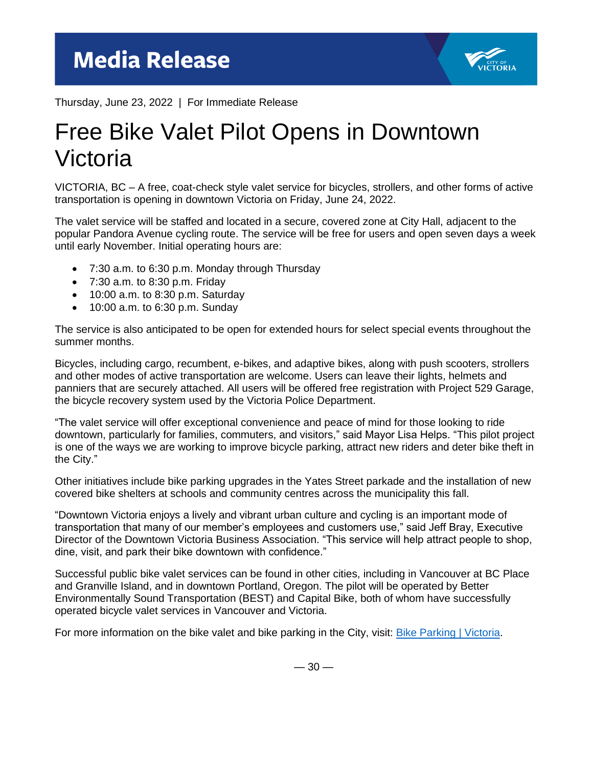

Thursday, June 23, 2022 | For Immediate Release

## Free Bike Valet Pilot Opens in Downtown Victoria

VICTORIA, BC – A free, coat-check style valet service for bicycles, strollers, and other forms of active transportation is opening in downtown Victoria on Friday, June 24, 2022.

The valet service will be staffed and located in a secure, covered zone at City Hall, adjacent to the popular Pandora Avenue cycling route. The service will be free for users and open seven days a week until early November. Initial operating hours are:

- 7:30 a.m. to 6:30 p.m. Monday through Thursday
- 7:30 a.m. to 8:30 p.m. Friday
- $\bullet$  10:00 a.m. to 8:30 p.m. Saturday
- 10:00 a.m. to 6:30 p.m. Sunday

The service is also anticipated to be open for extended hours for select special events throughout the summer months.

Bicycles, including cargo, recumbent, e-bikes, and adaptive bikes, along with push scooters, strollers and other modes of active transportation are welcome. Users can leave their lights, helmets and panniers that are securely attached. All users will be offered free registration with Project 529 Garage, the bicycle recovery system used by the Victoria Police Department.

"The valet service will offer exceptional convenience and peace of mind for those looking to ride downtown, particularly for families, commuters, and visitors," said Mayor Lisa Helps. "This pilot project is one of the ways we are working to improve bicycle parking, attract new riders and deter bike theft in the City."

Other initiatives include bike parking upgrades in the Yates Street parkade and the installation of new covered bike shelters at schools and community centres across the municipality this fall.

"Downtown Victoria enjoys a lively and vibrant urban culture and cycling is an important mode of transportation that many of our member's employees and customers use," said Jeff Bray, Executive Director of the Downtown Victoria Business Association. "This service will help attract people to shop, dine, visit, and park their bike downtown with confidence."

Successful public bike valet services can be found in other cities, including in Vancouver at BC Place and Granville Island, and in downtown Portland, Oregon. The pilot will be operated by Better Environmentally Sound Transportation (BEST) and Capital Bike, both of whom have successfully operated bicycle valet services in Vancouver and Victoria.

For more information on the bike valet and bike parking in the City, visit: **Bike Parking | Victoria.** 

 $-30-$